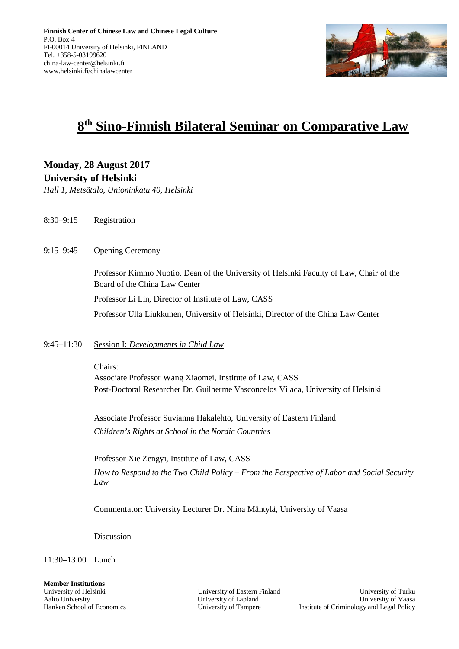

# **8 th Sino-Finnish Bilateral Seminar on Comparative Law**

**Monday, 28 August 2017 University of Helsinki**

*Hall 1, Metsätalo, Unioninkatu 40, Helsinki*

- 8:30–9:15 Registration
- 9:15–9:45 Opening Ceremony

Professor Kimmo Nuotio, Dean of the University of Helsinki Faculty of Law, Chair of the Board of the China Law Center Professor Li Lin, Director of Institute of Law, CASS

Professor Ulla Liukkunen, University of Helsinki, Director of the China Law Center

### 9:45–11:30 Session I: *Developments in Child Law*

Chairs:

Associate Professor Wang Xiaomei, Institute of Law, CASS Post-Doctoral Researcher Dr. Guilherme Vasconcelos Vilaca, University of Helsinki

Associate Professor Suvianna Hakalehto, University of Eastern Finland *Children's Rights at School in the Nordic Countries*

Professor Xie Zengyi, Institute of Law, CASS *How to Respond to the Two Child Policy – From the Perspective of Labor and Social Security Law*

Commentator: University Lecturer Dr. Niina Mäntylä, University of Vaasa

Discussion

11:30–13:00 Lunch

**Member Institutions**

University of Helsinki University of Eastern Finland University of Turku Aalto University Chaptersity University of Lapland University of Vaasa Hanken School of Economics University of Tampere Institute of Criminology and Legal Policy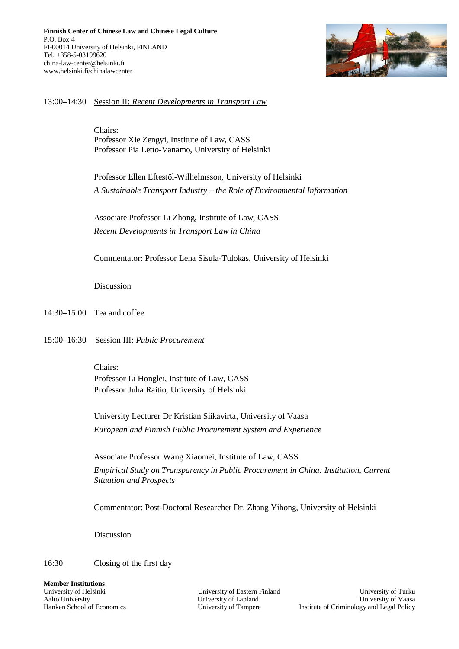

#### 13:00–14:30 Session II: *Recent Developments in Transport Law*

Chairs: Professor Xie Zengyi, Institute of Law, CASS Professor Pia Letto-Vanamo, University of Helsinki

Professor Ellen Eftestöl-Wilhelmsson, University of Helsinki *A Sustainable Transport Industry – the Role of Environmental Information*

Associate Professor Li Zhong, Institute of Law, CASS *Recent Developments in Transport Law in China*

Commentator: Professor Lena Sisula-Tulokas, University of Helsinki

Discussion

14:30–15:00 Tea and coffee

#### 15:00–16:30 Session III: *Public Procurement*

Chairs: Professor Li Honglei, Institute of Law, CASS Professor Juha Raitio, University of Helsinki

University Lecturer Dr Kristian Siikavirta, University of Vaasa *European and Finnish Public Procurement System and Experience*

Associate Professor Wang Xiaomei, Institute of Law, CASS *Empirical Study on Transparency in Public Procurement in China: Institution, Current Situation and Prospects*

Commentator: Post-Doctoral Researcher Dr. Zhang Yihong, University of Helsinki

Discussion

16:30 Closing of the first day

**Member Institutions**

University of Helsinki University of Eastern Finland University of Turku Aalto University Chaptersity University of Lapland University of Vaasa Hanken School of Economics University of Tampere Institute of Criminology and Legal Policy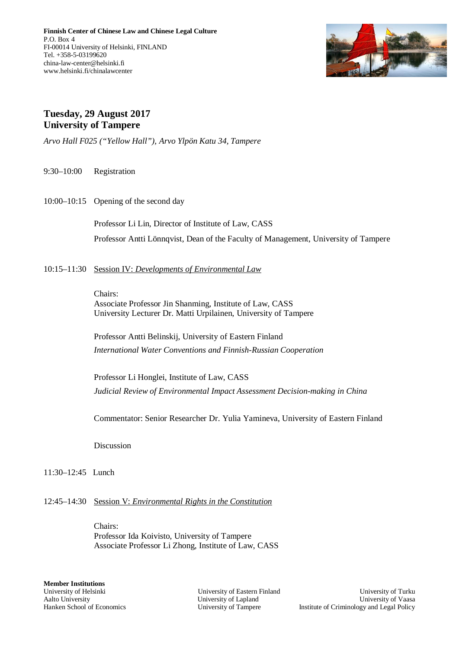

## **Tuesday, 29 August 2017 University of Tampere**

*Arvo Hall F025 ("Yellow Hall"), Arvo Ylpön Katu 34, Tampere*

- 9:30–10:00 Registration
- 10:00–10:15 Opening of the second day

Professor Li Lin, Director of Institute of Law, CASS Professor Antti Lönnqvist, Dean of the Faculty of Management, University of Tampere

10:15–11:30 Session IV: *Developments of Environmental Law*

Chairs: Associate Professor Jin Shanming, Institute of Law, CASS University Lecturer Dr. Matti Urpilainen, University of Tampere

Professor Antti Belinskij, University of Eastern Finland *International Water Conventions and Finnish-Russian Cooperation*

Professor Li Honglei, Institute of Law, CASS *Judicial Review of Environmental Impact Assessment Decision-making in China*

Commentator: Senior Researcher Dr. Yulia Yamineva, University of Eastern Finland

Discussion

- 11:30–12:45 Lunch
- 12:45–14:30 Session V: *Environmental Rights in the Constitution*

Chairs: Professor Ida Koivisto, University of Tampere Associate Professor Li Zhong, Institute of Law, CASS